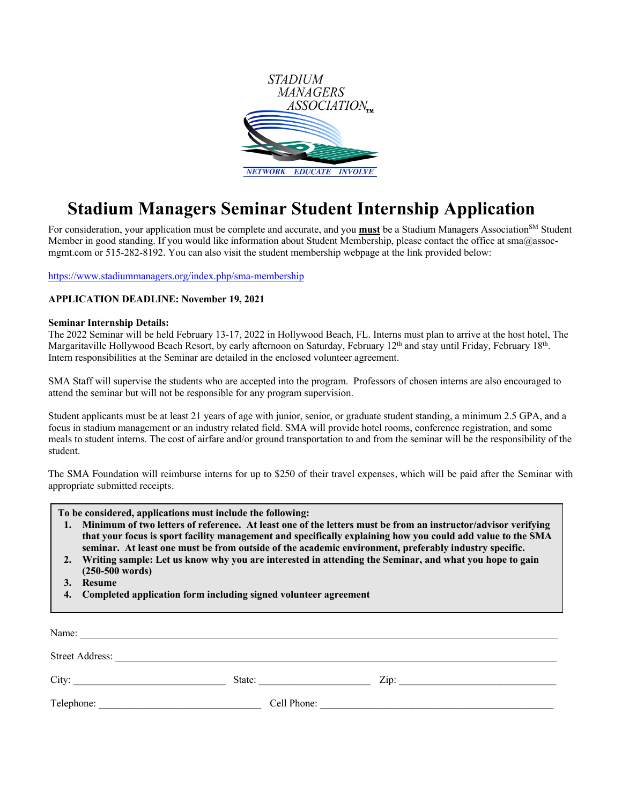

## **Stadium Managers Seminar Student Internship Application**

For consideration, your application must be complete and accurate, and you **must** be a Stadium Managers Association<sup>SM</sup> Student Member in good standing. If you would like information about Student Membership, please contact the office at sma@assocmgmt.com or 515-282-8192. You can also visit the student membership webpage at the link provided below:

https://www.stadiummanagers.org/index.php/sma-membership

## **APPLICATION DEADLINE: November 19, 2021**

## **Seminar Internship Details:**

The 2022 Seminar will be held February 13-17, 2022 in Hollywood Beach, FL. Interns must plan to arrive at the host hotel, The Margaritaville Hollywood Beach Resort, by early afternoon on Saturday, February 12<sup>th</sup> and stay until Friday, February 18<sup>th</sup>. Intern responsibilities at the Seminar are detailed in the enclosed volunteer agreement.

SMA Staff will supervise the students who are accepted into the program. Professors of chosen interns are also encouraged to attend the seminar but will not be responsible for any program supervision.

Student applicants must be at least 21 years of age with junior, senior, or graduate student standing, a minimum 2.5 GPA, and a focus in stadium management or an industry related field. SMA will provide hotel rooms, conference registration, and some meals to student interns. The cost of airfare and/or ground transportation to and from the seminar will be the responsibility of the student.

The SMA Foundation will reimburse interns for up to \$250 of their travel expenses, which will be paid after the Seminar with appropriate submitted receipts.

**To be considered, applications must include the following:**

- **1. Minimum of two letters of reference. At least one of the letters must be from an instructor/advisor verifying that your focus is sport facility management and specifically explaining how you could add value to the SMA seminar. At least one must be from outside of the academic environment, preferably industry specific.**
- **2. Writing sample: Let us know why you are interested in attending the Seminar, and what you hope to gain (250-500 words)**
- **3. Resume**
- **4. Completed application form including signed volunteer agreement**

| Name:           |             |      |
|-----------------|-------------|------|
| Street Address: |             |      |
| City:           | State:      | Zip: |
| Telephone:      | Cell Phone: |      |